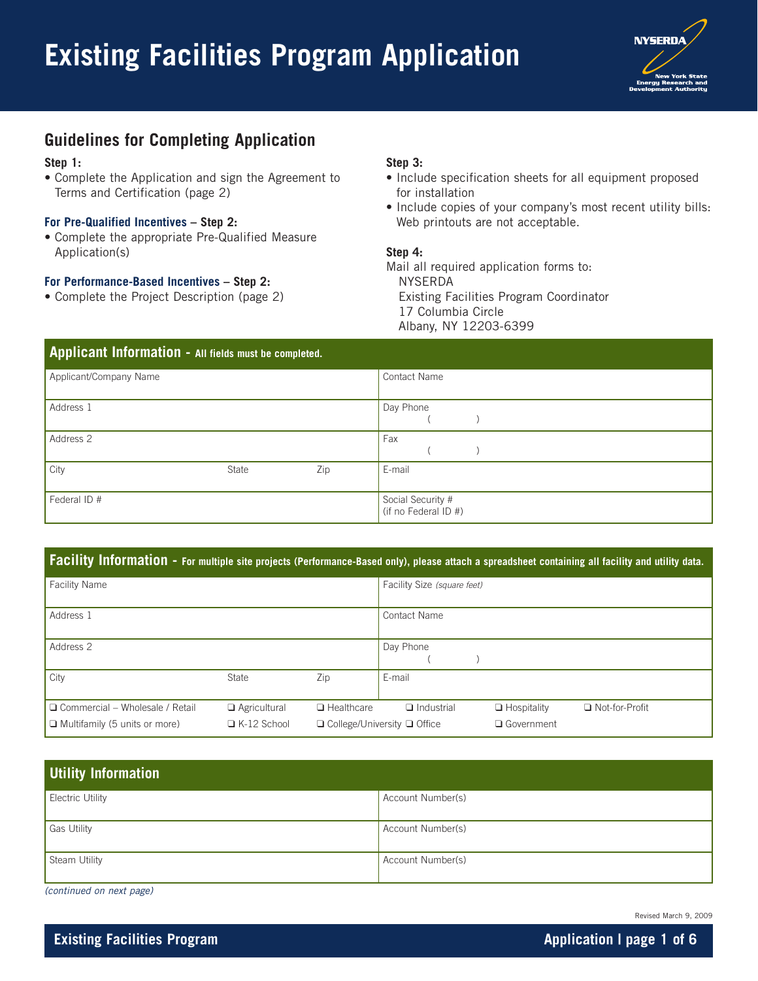

### **Guidelines for Completing Application**

#### **Step 1:**

• Complete the Application and sign the Agreement to Terms and Certification (page 2)

#### **For Pre-Qualified Incentives – Step 2:**

• Complete the appropriate Pre-Qualified Measure Application(s)

### **For Performance-Based Incentives – Step 2:**

• Complete the Project Description (page 2)

### **Step 3:**

- Include specification sheets for all equipment proposed for installation
- Include copies of your company's most recent utility bills: Web printouts are not acceptable.

### **Step 4:**

Mail all required application forms to: NYSERDA Existing Facilities Program Coordinator 17 Columbia Circle Albany, NY 12203-6399

| Applicant Information - All fields must be completed. |       |     |                                           |  |  |
|-------------------------------------------------------|-------|-----|-------------------------------------------|--|--|
| Applicant/Company Name                                |       |     | <b>Contact Name</b>                       |  |  |
| Address 1                                             |       |     | Day Phone                                 |  |  |
| Address 2                                             |       |     | Fax                                       |  |  |
| City                                                  | State | Zip | E-mail                                    |  |  |
| Federal ID #                                          |       |     | Social Security #<br>(if no Federal ID #) |  |  |

### **Facility Information - For multiple site projects (Performance-Based only), please attach a spreadsheet containing all facility and utility data.**

| <b>Facility Name</b>                                                           |                                           |                   | Facility Size (square feet)                                                                                                   |
|--------------------------------------------------------------------------------|-------------------------------------------|-------------------|-------------------------------------------------------------------------------------------------------------------------------|
| Address 1                                                                      |                                           |                   | <b>Contact Name</b>                                                                                                           |
| Address 2                                                                      |                                           |                   | Day Phone                                                                                                                     |
| City                                                                           | State                                     | Zip               | E-mail                                                                                                                        |
| $\Box$ Commercial – Wholesale / Retail<br>$\Box$ Multifamily (5 units or more) | $\Box$ Agricultural<br>$\Box$ K-12 School | $\Box$ Healthcare | □ Not-for-Profit<br>$\Box$ Industrial<br>$\Box$ Hospitality<br>$\Box$ College/University $\Box$ Office<br><b>Q</b> Government |

| Utility Information |                   |
|---------------------|-------------------|
| Electric Utility    | Account Number(s) |
| Gas Utility         | Account Number(s) |
| Steam Utility       | Account Number(s) |

(continued on next page)

Revised March 9, 2009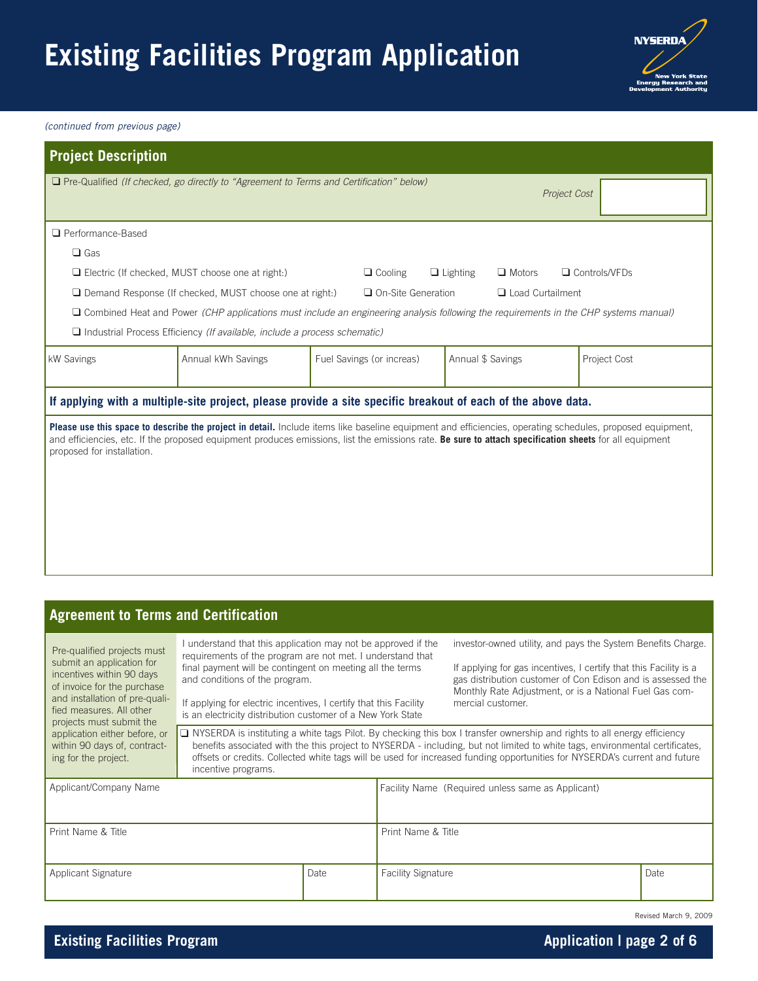# **Existing Facilities Program Application**



(continued from previous page)

| <b>Project Description</b>                                                                                                                                                                                                                                                                                                                                                                                                                                                                                                                                                                               |                                                                                                                                                                                                                                                                                                 |                           |                    |                                                                              |                                                                                                                                                                                                  |  |  |
|----------------------------------------------------------------------------------------------------------------------------------------------------------------------------------------------------------------------------------------------------------------------------------------------------------------------------------------------------------------------------------------------------------------------------------------------------------------------------------------------------------------------------------------------------------------------------------------------------------|-------------------------------------------------------------------------------------------------------------------------------------------------------------------------------------------------------------------------------------------------------------------------------------------------|---------------------------|--------------------|------------------------------------------------------------------------------|--------------------------------------------------------------------------------------------------------------------------------------------------------------------------------------------------|--|--|
|                                                                                                                                                                                                                                                                                                                                                                                                                                                                                                                                                                                                          | $\Box$ Pre-Qualified (If checked, go directly to "Agreement to Terms and Certification" below)                                                                                                                                                                                                  |                           |                    | Project Cost                                                                 |                                                                                                                                                                                                  |  |  |
| Performance-Based                                                                                                                                                                                                                                                                                                                                                                                                                                                                                                                                                                                        |                                                                                                                                                                                                                                                                                                 |                           |                    |                                                                              |                                                                                                                                                                                                  |  |  |
| $\Box$ Gas                                                                                                                                                                                                                                                                                                                                                                                                                                                                                                                                                                                               |                                                                                                                                                                                                                                                                                                 |                           |                    |                                                                              |                                                                                                                                                                                                  |  |  |
|                                                                                                                                                                                                                                                                                                                                                                                                                                                                                                                                                                                                          | $\Box$ Electric (If checked, MUST choose one at right:)<br>$\Box$ Cooling<br>$\Box$ Lighting<br>$\Box$ Motors<br>□ Controls/VFDs                                                                                                                                                                |                           |                    |                                                                              |                                                                                                                                                                                                  |  |  |
| $\Box$ Demand Response (If checked, MUST choose one at right:)<br>$\Box$ On-Site Generation<br>□ Load Curtailment                                                                                                                                                                                                                                                                                                                                                                                                                                                                                        |                                                                                                                                                                                                                                                                                                 |                           |                    |                                                                              |                                                                                                                                                                                                  |  |  |
|                                                                                                                                                                                                                                                                                                                                                                                                                                                                                                                                                                                                          | $\Box$ Combined Heat and Power (CHP applications must include an engineering analysis following the requirements in the CHP systems manual)                                                                                                                                                     |                           |                    |                                                                              |                                                                                                                                                                                                  |  |  |
|                                                                                                                                                                                                                                                                                                                                                                                                                                                                                                                                                                                                          | $\Box$ Industrial Process Efficiency (If available, include a process schematic)                                                                                                                                                                                                                |                           |                    |                                                                              |                                                                                                                                                                                                  |  |  |
| kW Savings                                                                                                                                                                                                                                                                                                                                                                                                                                                                                                                                                                                               | Annual kWh Savings                                                                                                                                                                                                                                                                              | Fuel Savings (or increas) |                    | Annual \$ Savings                                                            | Project Cost                                                                                                                                                                                     |  |  |
|                                                                                                                                                                                                                                                                                                                                                                                                                                                                                                                                                                                                          | If applying with a multiple-site project, please provide a site specific breakout of each of the above data.                                                                                                                                                                                    |                           |                    |                                                                              |                                                                                                                                                                                                  |  |  |
|                                                                                                                                                                                                                                                                                                                                                                                                                                                                                                                                                                                                          |                                                                                                                                                                                                                                                                                                 |                           |                    |                                                                              |                                                                                                                                                                                                  |  |  |
|                                                                                                                                                                                                                                                                                                                                                                                                                                                                                                                                                                                                          |                                                                                                                                                                                                                                                                                                 |                           |                    |                                                                              |                                                                                                                                                                                                  |  |  |
| <b>Agreement to Terms and Certification</b>                                                                                                                                                                                                                                                                                                                                                                                                                                                                                                                                                              |                                                                                                                                                                                                                                                                                                 |                           |                    |                                                                              |                                                                                                                                                                                                  |  |  |
| Pre-qualified projects must<br>submit an application for<br>incentives within 90 days<br>of invoice for the purchase<br>and installation of pre-quali-<br>fied measures. All other                                                                                                                                                                                                                                                                                                                                                                                                                       | I understand that this application may not be approved if the<br>requirements of the program are not met. I understand that<br>final payment will be contingent on meeting all the terms<br>and conditions of the program.<br>If applying for electric incentives, I certify that this Facility |                           |                    | Monthly Rate Adjustment, or is a National Fuel Gas com-<br>mercial customer. | investor-owned utility, and pays the System Benefits Charge.<br>If applying for gas incentives, I certify that this Facility is a<br>gas distribution customer of Con Edison and is assessed the |  |  |
| is an electricity distribution customer of a New York State<br>projects must submit the<br>$\Box$ NYSERDA is instituting a white tags Pilot. By checking this box I transfer ownership and rights to all energy efficiency<br>application either before, or<br>benefits associated with the this project to NYSERDA - including, but not limited to white tags, environmental certificates,<br>within 90 days of, contract-<br>offsets or credits. Collected white tags will be used for increased funding opportunities for NYSERDA's current and future<br>ing for the project.<br>incentive programs. |                                                                                                                                                                                                                                                                                                 |                           |                    |                                                                              |                                                                                                                                                                                                  |  |  |
| Applicant/Company Name                                                                                                                                                                                                                                                                                                                                                                                                                                                                                                                                                                                   |                                                                                                                                                                                                                                                                                                 |                           |                    | Facility Name (Required unless same as Applicant)                            |                                                                                                                                                                                                  |  |  |
| Print Name & Title                                                                                                                                                                                                                                                                                                                                                                                                                                                                                                                                                                                       |                                                                                                                                                                                                                                                                                                 |                           | Print Name & Title |                                                                              |                                                                                                                                                                                                  |  |  |

| Applicant Signature | Date | <b>Facility Signature</b> | Date                  |
|---------------------|------|---------------------------|-----------------------|
|                     |      |                           | Revised March 9, 2009 |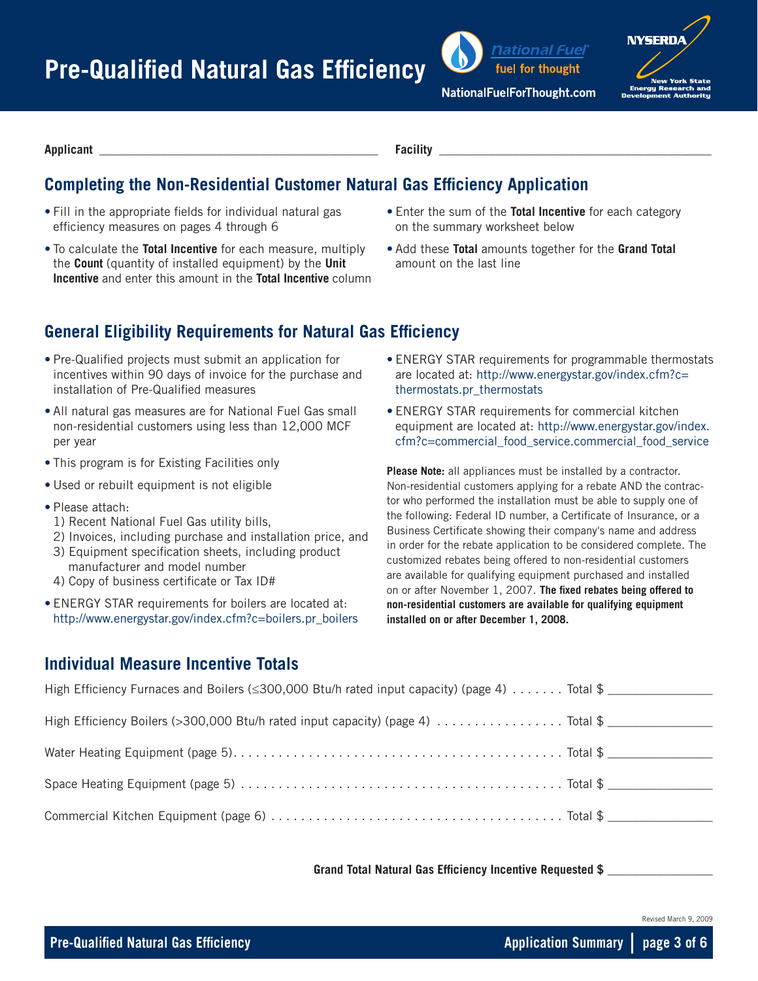

**NYSERD** 

**Applicant \_\_\_\_\_\_\_\_\_\_\_\_\_\_\_\_\_\_\_\_\_\_\_\_\_\_\_\_\_\_\_\_\_\_\_\_\_\_\_\_\_\_\_\_\_ Facility \_\_\_\_\_\_\_\_\_\_\_\_\_\_\_\_\_\_\_\_\_\_\_\_\_\_\_\_\_\_\_\_\_\_\_\_\_\_\_\_\_\_\_\_**

## **Completing the Non-Residential Customer Natural Gas Efficiency Application**

- Fill in the appropriate fields for individual natural gas efficiency measures on pages 4 through 6
- To calculate the **Total Incentive** for each measure, multiply the **Count** (quantity of installed equipment) by the **Unit Incentive** and enter this amount in the **Total Incentive** column
- Enter the sum of the **Total Incentive** for each category on the summary worksheet below
- Add these **Total** amounts together for the **Grand Total**  amount on the last line

## **General Eligibility Requirements for Natural Gas Efficiency**

- Pre-Qualified projects must submit an application for incentives within 90 days of invoice for the purchase and installation of Pre-Qualified measures
- All natural gas measures are for National Fuel Gas small non-residential customers using less than 12,000 MCF per year
- This program is for Existing Facilities only
- Used or rebuilt equipment is not eligible
- Please attach:
- 1) Recent National Fuel Gas utility bills,
- 2) Invoices, including purchase and installation price, and
- 3) Equipment specification sheets, including product manufacturer and model number
- 4) Copy of business certificate or Tax ID#
- ENERGY STAR requirements for boilers are located at: http://www.energystar.gov/index.cfm?c=boilers.pr\_boilers
- ENERGY STAR requirements for programmable thermostats are located at: http://www.energystar.gov/index.cfm?c= thermostats.pr\_thermostats
- ENERGY STAR requirements for commercial kitchen equipment are located at: http://www.energystar.gov/index. cfm?c=commercial\_food\_service.commercial\_food\_service

**Please Note:** all appliances must be installed by a contractor. Non-residential customers applying for a rebate AND the contractor who performed the installation must be able to supply one of the following: Federal ID number, a Certificate of Insurance, or a Business Certificate showing their company's name and address in order for the rebate application to be considered complete. The customized rebates being offered to non-residential customers are available for qualifying equipment purchased and installed on or after November 1, 2007. **The fixed rebates being offered to non-residential customers are available for qualifying equipment installed on or after December 1, 2008.**

### **Individual Measure Incentive Totals**

| High Efficiency Furnaces and Boilers ( $\leq$ 300,000 Btu/h rated input capacity) (page 4)  Total \$ |  |
|------------------------------------------------------------------------------------------------------|--|
|                                                                                                      |  |
|                                                                                                      |  |
|                                                                                                      |  |
|                                                                                                      |  |
|                                                                                                      |  |

**Grand Total Natural Gas Efficiency Incentive Requested \$** \_\_\_\_\_\_\_\_\_\_\_\_\_\_\_\_\_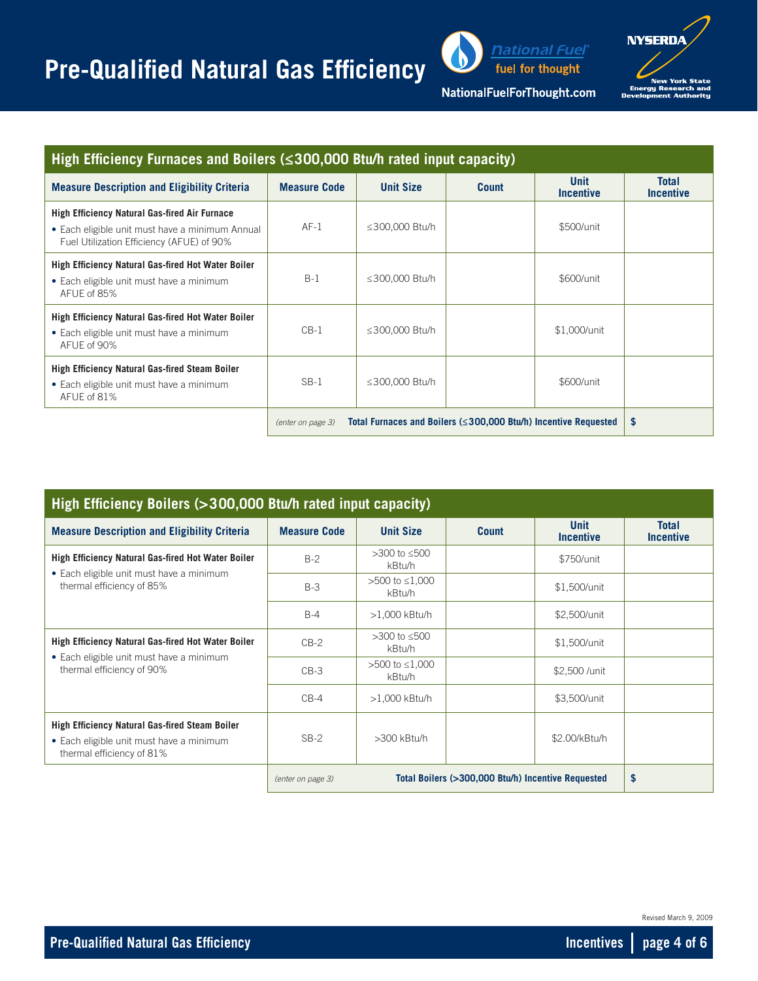# **Pre-Qualified Natural Gas Efficiency**



**NYSERDA** New York State<br>Energy Research and

| <u> ationa</u>  Fue ForThought.com |  |  |
|------------------------------------|--|--|
|                                    |  |  |

| High Efficiency Furnaces and Boilers ( $\leq$ 300,000 Btu/h rated input capacity)                                                                    |                                                                                             |                  |              |                                 |                                  |  |  |
|------------------------------------------------------------------------------------------------------------------------------------------------------|---------------------------------------------------------------------------------------------|------------------|--------------|---------------------------------|----------------------------------|--|--|
| <b>Measure Description and Eligibility Criteria</b>                                                                                                  | <b>Measure Code</b>                                                                         | <b>Unit Size</b> | <b>Count</b> | <b>Unit</b><br><b>Incentive</b> | <b>Total</b><br><b>Incentive</b> |  |  |
| <b>High Efficiency Natural Gas-fired Air Furnace</b><br>• Each eligible unit must have a minimum Annual<br>Fuel Utilization Efficiency (AFUE) of 90% | $AF-1$                                                                                      | ≤300,000 Btu/h   |              | \$500/unit                      |                                  |  |  |
| <b>High Efficiency Natural Gas-fired Hot Water Boiler</b><br>• Each eligible unit must have a minimum<br>AFUE of 85%                                 | $B-1$                                                                                       | ≤300,000 Btu/h   |              | \$600/unit                      |                                  |  |  |
| <b>High Efficiency Natural Gas-fired Hot Water Boiler</b><br>• Each eligible unit must have a minimum<br>AFUE of 90%                                 | $CB-1$                                                                                      | ≤300,000 Btu/h   |              | \$1,000/unit                    |                                  |  |  |
| <b>High Efficiency Natural Gas-fired Steam Boiler</b><br>• Each eligible unit must have a minimum<br>AFUE of 81%                                     | $SB-1$                                                                                      | ≤300,000 Btu/h   |              | \$600/unit                      |                                  |  |  |
|                                                                                                                                                      | Total Furnaces and Boilers ( $\leq$ 300,000 Btu/h) Incentive Requested<br>(enter on page 3) | \$               |              |                                 |                                  |  |  |

| High Efficiency Boilers (>300,000 Btu/h rated input capacity)                                                                      |                     |                          |                                                    |                          |                                  |  |
|------------------------------------------------------------------------------------------------------------------------------------|---------------------|--------------------------|----------------------------------------------------|--------------------------|----------------------------------|--|
| <b>Measure Description and Eligibility Criteria</b>                                                                                | <b>Measure Code</b> | <b>Unit Size</b>         | <b>Count</b>                                       | <b>Unit</b><br>Incentive | <b>Total</b><br><b>Incentive</b> |  |
| <b>High Efficiency Natural Gas-fired Hot Water Boiler</b><br>• Each eligible unit must have a minimum<br>thermal efficiency of 85% | $B-2$               | >300 to ≤500<br>kBtu/h   |                                                    | \$750/unit               |                                  |  |
|                                                                                                                                    | $B-3$               | >500 to ≤1,000<br>kBtu/h |                                                    | \$1,500/unit             |                                  |  |
|                                                                                                                                    | $B-4$               | $>1,000$ kBtu/h          |                                                    | \$2,500/unit             |                                  |  |
| <b>High Efficiency Natural Gas-fired Hot Water Boiler</b>                                                                          | $CB-2$              | >300 to ≤500<br>kBtu/h   |                                                    | \$1,500/unit             |                                  |  |
| • Each eligible unit must have a minimum<br>thermal efficiency of 90%                                                              | $CB-3$              | >500 to ≤1,000<br>kBtu/h |                                                    | \$2,500 /unit            |                                  |  |
|                                                                                                                                    | $CB-4$              | $>1,000$ kBtu/h          |                                                    | \$3,500/unit             |                                  |  |
| <b>High Efficiency Natural Gas-fired Steam Boiler</b><br>• Each eligible unit must have a minimum<br>thermal efficiency of 81%     | $SB-2$              | $>300$ kBtu/h            |                                                    | \$2.00/kBtu/h            |                                  |  |
|                                                                                                                                    | (enter on page 3)   |                          | Total Boilers (>300,000 Btu/h) Incentive Requested |                          | \$                               |  |

Revised March 9, 2009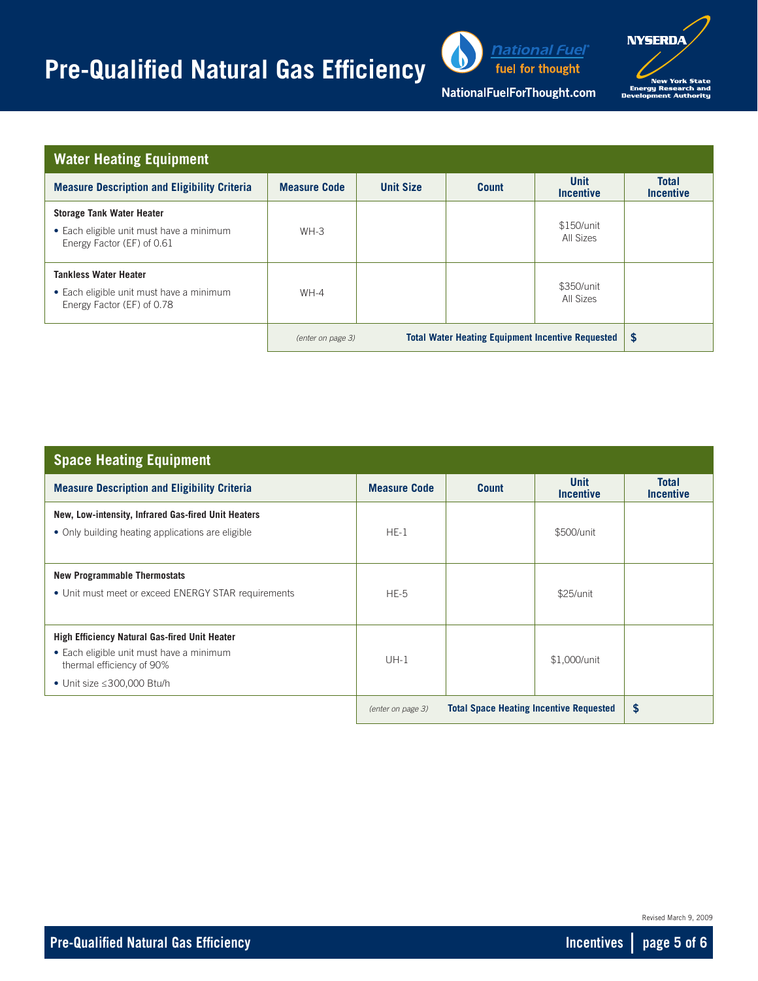## **Pre-Qualified Natural Gas Efficiency**



fuel for thought



NationalFuelForThought.com

| <b>Water Heating Equipment</b>                                                                             |                     |                  |                                                          |                                 |                                  |
|------------------------------------------------------------------------------------------------------------|---------------------|------------------|----------------------------------------------------------|---------------------------------|----------------------------------|
| <b>Measure Description and Eligibility Criteria</b>                                                        | <b>Measure Code</b> | <b>Unit Size</b> | <b>Count</b>                                             | <b>Unit</b><br><b>Incentive</b> | <b>Total</b><br><b>Incentive</b> |
| <b>Storage Tank Water Heater</b><br>• Each eligible unit must have a minimum<br>Energy Factor (EF) of 0.61 | $WH-3$              |                  |                                                          | \$150/unit<br>All Sizes         |                                  |
| <b>Tankless Water Heater</b><br>• Each eligible unit must have a minimum<br>Energy Factor (EF) of 0.78     | $WH-4$              |                  |                                                          | \$350/unit<br>All Sizes         |                                  |
|                                                                                                            | (enter on page 3)   |                  | <b>Total Water Heating Equipment Incentive Requested</b> |                                 | $\boldsymbol{\mathsf{s}}$        |

| <b>Space Heating Equipment</b>                                        |                     |                                                |                                 |                                  |
|-----------------------------------------------------------------------|---------------------|------------------------------------------------|---------------------------------|----------------------------------|
| <b>Measure Description and Eligibility Criteria</b>                   | <b>Measure Code</b> | <b>Count</b>                                   | <b>Unit</b><br><b>Incentive</b> | <b>Total</b><br><b>Incentive</b> |
| New, Low-intensity, Infrared Gas-fired Unit Heaters                   |                     |                                                |                                 |                                  |
| • Only building heating applications are eligible                     | $HE-1$              |                                                | \$500/unit                      |                                  |
|                                                                       |                     |                                                |                                 |                                  |
| <b>New Programmable Thermostats</b>                                   |                     |                                                |                                 |                                  |
| • Unit must meet or exceed ENERGY STAR requirements                   | $HE-5$              |                                                | \$25/unit                       |                                  |
|                                                                       |                     |                                                |                                 |                                  |
| <b>High Efficiency Natural Gas-fired Unit Heater</b>                  |                     |                                                |                                 |                                  |
| • Each eligible unit must have a minimum<br>thermal efficiency of 90% | $UH-1$              |                                                | \$1,000/unit                    |                                  |
| • Unit size $\leq$ 300,000 Btu/h                                      |                     |                                                |                                 |                                  |
|                                                                       | (enter on page 3)   | <b>Total Space Heating Incentive Requested</b> |                                 | \$                               |